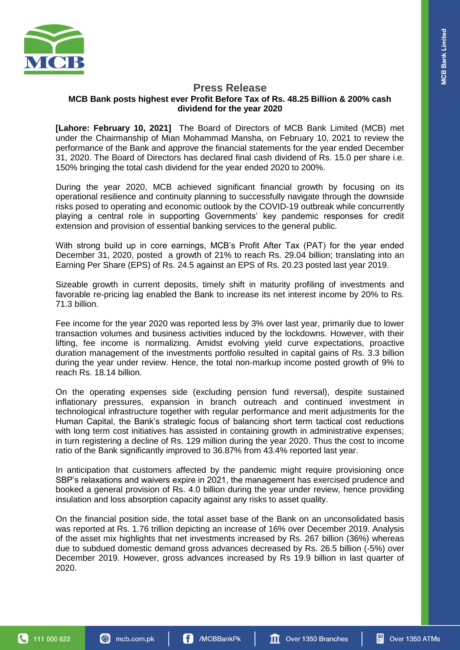

## **Press Release MCB Bank posts highest ever Profit Before Tax of Rs. 48.25 Billion & 200% cash dividend for the year 2020**

**[Lahore: February 10, 2021]** The Board of Directors of MCB Bank Limited (MCB) met under the Chairmanship of Mian Mohammad Mansha, on February 10, 2021 to review the performance of the Bank and approve the financial statements for the year ended December 31, 2020. The Board of Directors has declared final cash dividend of Rs. 15.0 per share i.e. 150% bringing the total cash dividend for the year ended 2020 to 200%.

During the year 2020, MCB achieved significant financial growth by focusing on its operational resilience and continuity planning to successfully navigate through the downside risks posed to operating and economic outlook by the COVID-19 outbreak while concurrently playing a central role in supporting Governments' key pandemic responses for credit extension and provision of essential banking services to the general public.

With strong build up in core earnings, MCB's Profit After Tax (PAT) for the year ended December 31, 2020, posted a growth of 21% to reach Rs. 29.04 billion; translating into an Earning Per Share (EPS) of Rs. 24.5 against an EPS of Rs. 20.23 posted last year 2019.

Sizeable growth in current deposits, timely shift in maturity profiling of investments and favorable re-pricing lag enabled the Bank to increase its net interest income by 20% to Rs. 71.3 billion.

Fee income for the year 2020 was reported less by 3% over last year, primarily due to lower transaction volumes and business activities induced by the lockdowns. However, with their lifting, fee income is normalizing. Amidst evolving yield curve expectations, proactive duration management of the investments portfolio resulted in capital gains of Rs. 3.3 billion during the year under review. Hence, the total non-markup income posted growth of 9% to reach Rs. 18.14 billion.

On the operating expenses side (excluding pension fund reversal), despite sustained inflationary pressures, expansion in branch outreach and continued investment in technological infrastructure together with regular performance and merit adjustments for the Human Capital, the Bank's strategic focus of balancing short term tactical cost reductions with long term cost initiatives has assisted in containing growth in administrative expenses; in turn registering a decline of Rs. 129 million during the year 2020. Thus the cost to income ratio of the Bank significantly improved to 36.87% from 43.4% reported last year.

In anticipation that customers affected by the pandemic might require provisioning once SBP's relaxations and waivers expire in 2021, the management has exercised prudence and booked a general provision of Rs. 4.0 billion during the year under review, hence providing insulation and loss absorption capacity against any risks to asset quality.

On the financial position side, the total asset base of the Bank on an unconsolidated basis was reported at Rs. 1.76 trillion depicting an increase of 16% over December 2019. Analysis of the asset mix highlights that net investments increased by Rs. 267 billion (36%) whereas due to subdued domestic demand gross advances decreased by Rs. 26.5 billion (-5%) over December 2019. However, gross advances increased by Rs 19.9 billion in last quarter of 2020.